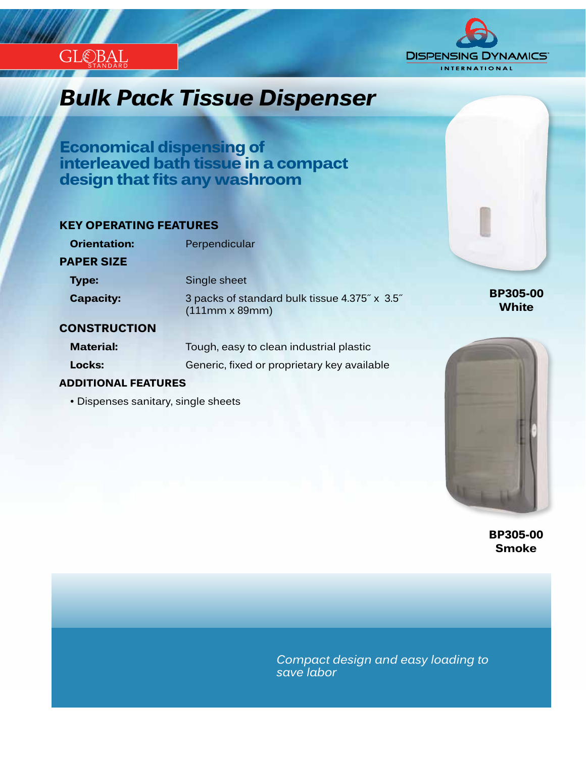

## *Innovation...Design...Solutions Bulk Pack Tissue Dispenser*

**Economical dispensing of interleaved bath tissue in a compact design that fits any washroom**

### **KEY OPERATING FEATURES**

**ADDITIONAL FEATURES**

• Dispenses sanitary, single sheets

STANDARD

 $\mathcal{E}$ BAI

| <b>Orientation:</b> | Perpendicular                                                          |
|---------------------|------------------------------------------------------------------------|
| <b>PAPER SIZE</b>   |                                                                        |
| <b>Type:</b>        | Single sheet                                                           |
| <b>Capacity:</b>    | 3 packs of standard bulk tissue 4.375" x 3.5"<br>$(111mm \times 89mm)$ |
| <b>CONSTRUCTION</b> |                                                                        |
| <b>Material:</b>    | Tough, easy to clean industrial plastic                                |

**Locks:** Generic, fixed or proprietary key available

**BP305-00 White**



**BP305-00 Smoke**

*Compact design and easy loading to save labor*